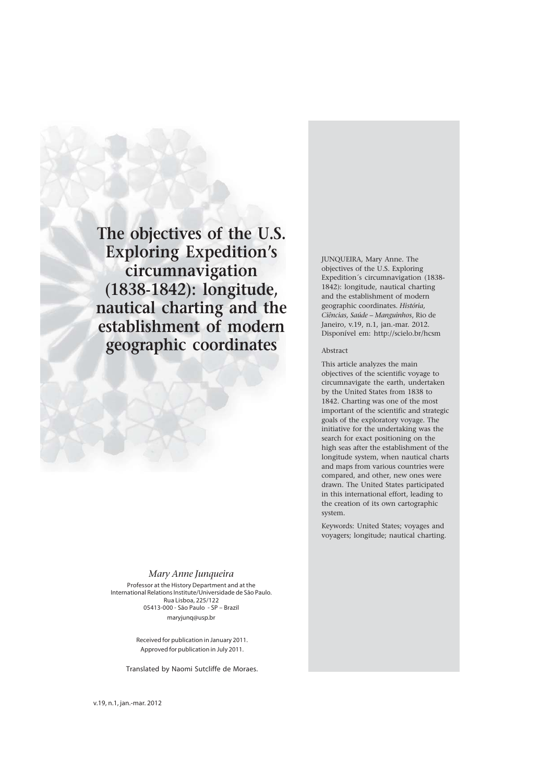**The objectives of the U.S. Exploring Expedition's circumnavigation (1838-1842): longitude, nautical charting and the establishment of modern geographic coordinates**

*Mary Anne Junqueira*

Professor at the History Department and at the International Relations Institute/Universidade de São Paulo. Rua Lisboa, 225/122 05413-000 - São Paulo - SP – Brazil maryjunq@usp.br

> Received for publication in January 2011. Approved for publication in July 2011.

Translated by Naomi Sutcliffe de Moraes.

JUNQUEIRA, Mary Anne. The objectives of the U.S. Exploring Expedition´s circumnavigation (1838- 1842): longitude, nautical charting and the establishment of modern geographic coordinates. *História, Ciências, Saúde – Manguinhos*, Rio de Janeiro, v.19, n.1, jan.-mar. 2012. Disponível em: http://scielo.br/hcsm

### Abstract

This article analyzes the main objectives of the scientific voyage to circumnavigate the earth, undertaken by the United States from 1838 to 1842. Charting was one of the most important of the scientific and strategic goals of the exploratory voyage. The initiative for the undertaking was the search for exact positioning on the high seas after the establishment of the longitude system, when nautical charts and maps from various countries were compared, and other, new ones were drawn. The United States participated in this international effort, leading to the creation of its own cartographic system.

Keywords: United States; voyages and voyagers; longitude; nautical charting.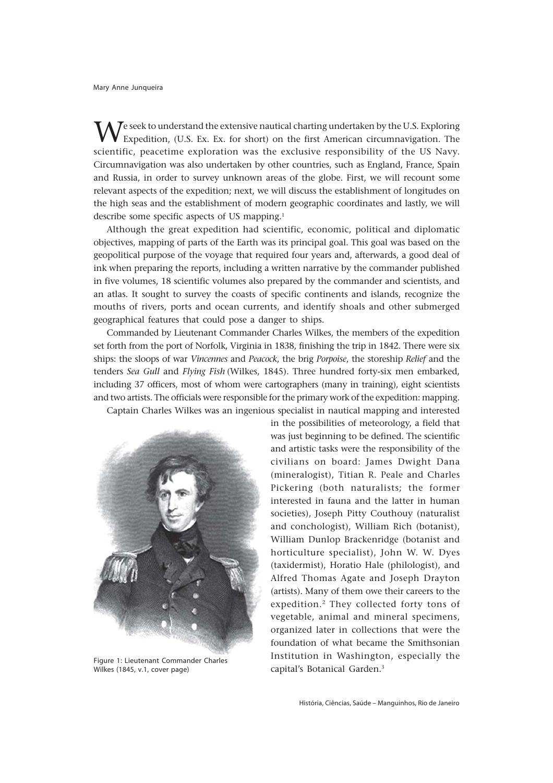$\bar{J}$ e seek to understand the extensive nautical charting undertaken by the U.S. Exploring Expedition, (U.S. Ex. Ex. for short) on the first American circumnavigation. The scientific, peacetime exploration was the exclusive responsibility of the US Navy. Circumnavigation was also undertaken by other countries, such as England, France, Spain and Russia, in order to survey unknown areas of the globe. First, we will recount some relevant aspects of the expedition; next, we will discuss the establishment of longitudes on the high seas and the establishment of modern geographic coordinates and lastly, we will describe some specific aspects of US mapping.1

Although the great expedition had scientific, economic, political and diplomatic objectives, mapping of parts of the Earth was its principal goal. This goal was based on the geopolitical purpose of the voyage that required four years and, afterwards, a good deal of ink when preparing the reports, including a written narrative by the commander published in five volumes, 18 scientific volumes also prepared by the commander and scientists, and an atlas. It sought to survey the coasts of specific continents and islands, recognize the mouths of rivers, ports and ocean currents, and identify shoals and other submerged geographical features that could pose a danger to ships.

Commanded by Lieutenant Commander Charles Wilkes, the members of the expedition set forth from the port of Norfolk, Virginia in 1838, finishing the trip in 1842. There were six ships: the sloops of war *Vincennes* and *Peacock*, the brig *Porpoise*, the storeship *Relief* and the tenders *Sea Gull* and *Flying Fish* (Wilkes, 1845). Three hundred forty-six men embarked, including 37 officers, most of whom were cartographers (many in training), eight scientists and two artists. The officials were responsible for the primary work of the expedition: mapping.

Captain Charles Wilkes was an ingenious specialist in nautical mapping and interested



Figure 1: Lieutenant Commander Charles Wilkes (1845, v.1, cover page)

in the possibilities of meteorology, a field that was just beginning to be defined. The scientific and artistic tasks were the responsibility of the civilians on board: James Dwight Dana (mineralogist), Titian R. Peale and Charles Pickering (both naturalists; the former interested in fauna and the latter in human societies), Joseph Pitty Couthouy (naturalist and conchologist), William Rich (botanist), William Dunlop Brackenridge (botanist and horticulture specialist), John W. W. Dyes (taxidermist), Horatio Hale (philologist), and Alfred Thomas Agate and Joseph Drayton (artists). Many of them owe their careers to the expedition.2 They collected forty tons of vegetable, animal and mineral specimens, organized later in collections that were the foundation of what became the Smithsonian Institution in Washington, especially the capital's Botanical Garden.3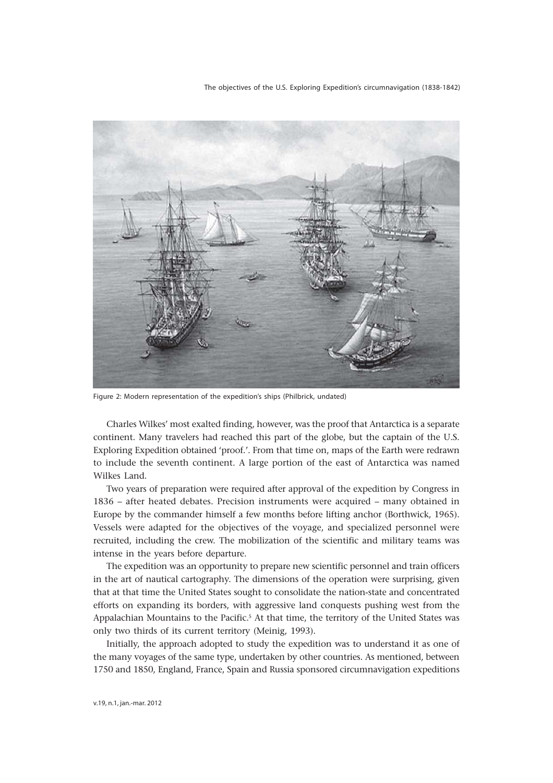The objectives of the U.S. Exploring Expedition's circumnavigation (1838-1842)



Figure 2: Modern representation of the expedition's ships (Philbrick, undated)

Charles Wilkes' most exalted finding, however, was the proof that Antarctica is a separate continent. Many travelers had reached this part of the globe, but the captain of the U.S. Exploring Expedition obtained 'proof.'. From that time on, maps of the Earth were redrawn to include the seventh continent. A large portion of the east of Antarctica was named Wilkes Land.

Two years of preparation were required after approval of the expedition by Congress in 1836 – after heated debates. Precision instruments were acquired – many obtained in Europe by the commander himself a few months before lifting anchor (Borthwick, 1965). Vessels were adapted for the objectives of the voyage, and specialized personnel were recruited, including the crew. The mobilization of the scientific and military teams was intense in the years before departure.

The expedition was an opportunity to prepare new scientific personnel and train officers in the art of nautical cartography. The dimensions of the operation were surprising, given that at that time the United States sought to consolidate the nation-state and concentrated efforts on expanding its borders, with aggressive land conquests pushing west from the Appalachian Mountains to the Pacific.<sup>5</sup> At that time, the territory of the United States was only two thirds of its current territory (Meinig, 1993).

Initially, the approach adopted to study the expedition was to understand it as one of the many voyages of the same type, undertaken by other countries. As mentioned, between 1750 and 1850, England, France, Spain and Russia sponsored circumnavigation expeditions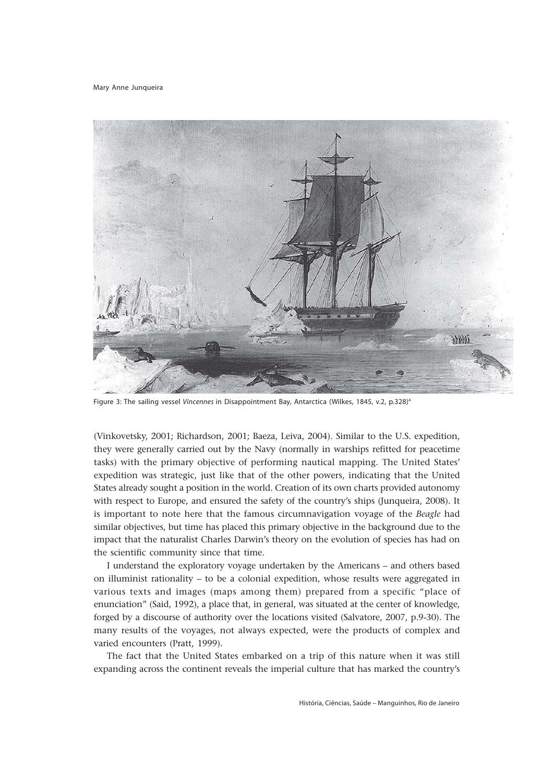

Figure 3: The sailing vessel Vincennes in Disappointment Bay, Antarctica (Wilkes, 1845, v.2, p.328)<sup>4</sup>

(Vinkovetsky, 2001; Richardson, 2001; Baeza, Leiva, 2004). Similar to the U.S. expedition, they were generally carried out by the Navy (normally in warships refitted for peacetime tasks) with the primary objective of performing nautical mapping. The United States' expedition was strategic, just like that of the other powers, indicating that the United States already sought a position in the world. Creation of its own charts provided autonomy with respect to Europe, and ensured the safety of the country's ships (Junqueira, 2008). It is important to note here that the famous circumnavigation voyage of the *Beagle* had similar objectives, but time has placed this primary objective in the background due to the impact that the naturalist Charles Darwin's theory on the evolution of species has had on the scientific community since that time.

I understand the exploratory voyage undertaken by the Americans – and others based on illuminist rationality – to be a colonial expedition, whose results were aggregated in various texts and images (maps among them) prepared from a specific "place of enunciation" (Said, 1992), a place that, in general, was situated at the center of knowledge, forged by a discourse of authority over the locations visited (Salvatore, 2007, p.9-30). The many results of the voyages, not always expected, were the products of complex and varied encounters (Pratt, 1999).

The fact that the United States embarked on a trip of this nature when it was still expanding across the continent reveals the imperial culture that has marked the country's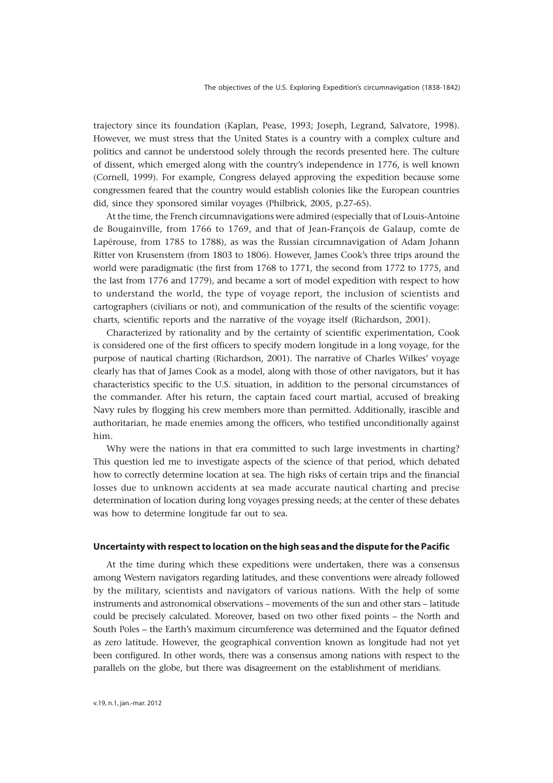trajectory since its foundation (Kaplan, Pease, 1993; Joseph, Legrand, Salvatore, 1998). However, we must stress that the United States is a country with a complex culture and politics and cannot be understood solely through the records presented here. The culture of dissent, which emerged along with the country's independence in 1776, is well known (Cornell, 1999). For example, Congress delayed approving the expedition because some congressmen feared that the country would establish colonies like the European countries did, since they sponsored similar voyages (Philbrick, 2005, p.27-65).

At the time, the French circumnavigations were admired (especially that of Louis-Antoine de Bougainville, from 1766 to 1769, and that of Jean-François de Galaup, comte de Lapérouse, from 1785 to 1788), as was the Russian circumnavigation of Adam Johann Ritter von Krusenstern (from 1803 to 1806). However, James Cook's three trips around the world were paradigmatic (the first from 1768 to 1771, the second from 1772 to 1775, and the last from 1776 and 1779), and became a sort of model expedition with respect to how to understand the world, the type of voyage report, the inclusion of scientists and cartographers (civilians or not), and communication of the results of the scientific voyage: charts, scientific reports and the narrative of the voyage itself (Richardson, 2001).

Characterized by rationality and by the certainty of scientific experimentation, Cook is considered one of the first officers to specify modern longitude in a long voyage, for the purpose of nautical charting (Richardson, 2001). The narrative of Charles Wilkes' voyage clearly has that of James Cook as a model, along with those of other navigators, but it has characteristics specific to the U.S. situation, in addition to the personal circumstances of the commander. After his return, the captain faced court martial, accused of breaking Navy rules by flogging his crew members more than permitted. Additionally, irascible and authoritarian, he made enemies among the officers, who testified unconditionally against him.

Why were the nations in that era committed to such large investments in charting? This question led me to investigate aspects of the science of that period, which debated how to correctly determine location at sea. The high risks of certain trips and the financial losses due to unknown accidents at sea made accurate nautical charting and precise determination of location during long voyages pressing needs; at the center of these debates was how to determine longitude far out to sea.

### **Uncertainty with respect to location on the high seas and the dispute for the Pacific**

At the time during which these expeditions were undertaken, there was a consensus among Western navigators regarding latitudes, and these conventions were already followed by the military, scientists and navigators of various nations. With the help of some instruments and astronomical observations – movements of the sun and other stars – latitude could be precisely calculated. Moreover, based on two other fixed points – the North and South Poles – the Earth's maximum circumference was determined and the Equator defined as zero latitude. However, the geographical convention known as longitude had not yet been configured. In other words, there was a consensus among nations with respect to the parallels on the globe, but there was disagreement on the establishment of meridians.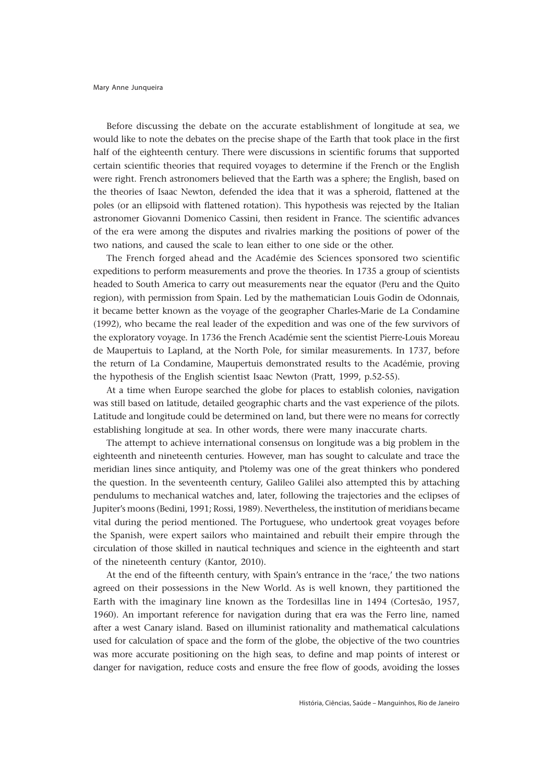Before discussing the debate on the accurate establishment of longitude at sea, we would like to note the debates on the precise shape of the Earth that took place in the first half of the eighteenth century. There were discussions in scientific forums that supported certain scientific theories that required voyages to determine if the French or the English were right. French astronomers believed that the Earth was a sphere; the English, based on the theories of Isaac Newton, defended the idea that it was a spheroid, flattened at the poles (or an ellipsoid with flattened rotation). This hypothesis was rejected by the Italian astronomer Giovanni Domenico Cassini, then resident in France. The scientific advances of the era were among the disputes and rivalries marking the positions of power of the two nations, and caused the scale to lean either to one side or the other.

The French forged ahead and the Académie des Sciences sponsored two scientific expeditions to perform measurements and prove the theories. In 1735 a group of scientists headed to South America to carry out measurements near the equator (Peru and the Quito region), with permission from Spain. Led by the mathematician Louis Godin de Odonnais, it became better known as the voyage of the geographer Charles-Marie de La Condamine (1992), who became the real leader of the expedition and was one of the few survivors of the exploratory voyage. In 1736 the French Académie sent the scientist Pierre-Louis Moreau de Maupertuis to Lapland, at the North Pole, for similar measurements. In 1737, before the return of La Condamine, Maupertuis demonstrated results to the Académie, proving the hypothesis of the English scientist Isaac Newton (Pratt, 1999, p.52-55).

At a time when Europe searched the globe for places to establish colonies, navigation was still based on latitude, detailed geographic charts and the vast experience of the pilots. Latitude and longitude could be determined on land, but there were no means for correctly establishing longitude at sea. In other words, there were many inaccurate charts.

The attempt to achieve international consensus on longitude was a big problem in the eighteenth and nineteenth centuries. However, man has sought to calculate and trace the meridian lines since antiquity, and Ptolemy was one of the great thinkers who pondered the question. In the seventeenth century, Galileo Galilei also attempted this by attaching pendulums to mechanical watches and, later, following the trajectories and the eclipses of Jupiter's moons (Bedini, 1991; Rossi, 1989). Nevertheless, the institution of meridians became vital during the period mentioned. The Portuguese, who undertook great voyages before the Spanish, were expert sailors who maintained and rebuilt their empire through the circulation of those skilled in nautical techniques and science in the eighteenth and start of the nineteenth century (Kantor, 2010).

At the end of the fifteenth century, with Spain's entrance in the 'race,' the two nations agreed on their possessions in the New World. As is well known, they partitioned the Earth with the imaginary line known as the Tordesillas line in 1494 (Cortesão, 1957, 1960). An important reference for navigation during that era was the Ferro line, named after a west Canary island. Based on illuminist rationality and mathematical calculations used for calculation of space and the form of the globe, the objective of the two countries was more accurate positioning on the high seas, to define and map points of interest or danger for navigation, reduce costs and ensure the free flow of goods, avoiding the losses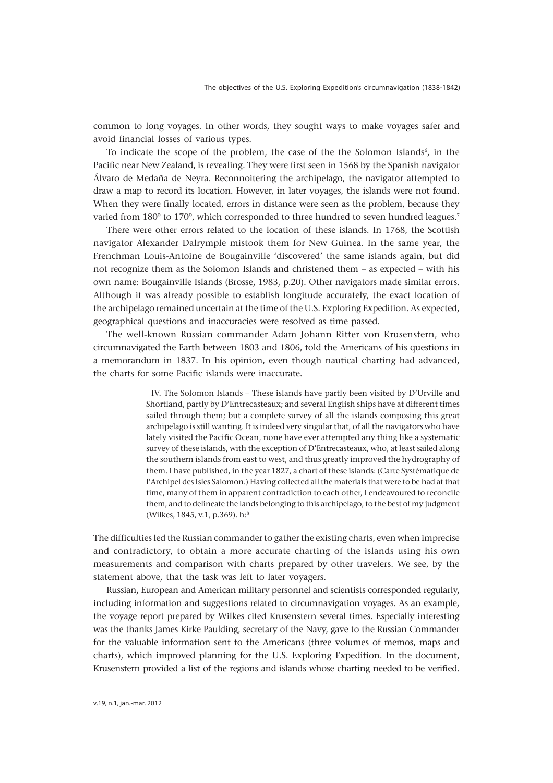common to long voyages. In other words, they sought ways to make voyages safer and avoid financial losses of various types.

To indicate the scope of the problem, the case of the the Solomon Islands<sup>6</sup>, in the Pacific near New Zealand, is revealing. They were first seen in 1568 by the Spanish navigator Álvaro de Medaña de Neyra. Reconnoitering the archipelago, the navigator attempted to draw a map to record its location. However, in later voyages, the islands were not found. When they were finally located, errors in distance were seen as the problem, because they varied from 180º to 170º, which corresponded to three hundred to seven hundred leagues.7

There were other errors related to the location of these islands. In 1768, the Scottish navigator Alexander Dalrymple mistook them for New Guinea. In the same year, the Frenchman Louis-Antoine de Bougainville 'discovered' the same islands again, but did not recognize them as the Solomon Islands and christened them – as expected – with his own name: Bougainville Islands (Brosse, 1983, p.20). Other navigators made similar errors. Although it was already possible to establish longitude accurately, the exact location of the archipelago remained uncertain at the time of the U.S. Exploring Expedition. As expected, geographical questions and inaccuracies were resolved as time passed.

The well-known Russian commander Adam Johann Ritter von Krusenstern, who circumnavigated the Earth between 1803 and 1806, told the Americans of his questions in a memorandum in 1837. In his opinion, even though nautical charting had advanced, the charts for some Pacific islands were inaccurate.

> IV. The Solomon Islands – These islands have partly been visited by D'Urville and Shortland, partly by D'Entrecasteaux; and several English ships have at different times sailed through them; but a complete survey of all the islands composing this great archipelago is still wanting. It is indeed very singular that, of all the navigators who have lately visited the Pacific Ocean, none have ever attempted any thing like a systematic survey of these islands, with the exception of D'Entrecasteaux, who, at least sailed along the southern islands from east to west, and thus greatly improved the hydrography of them. I have published, in the year 1827, a chart of these islands: (Carte Systématique de l'Archipel des Isles Salomon.) Having collected all the materials that were to be had at that time, many of them in apparent contradiction to each other, I endeavoured to reconcile them, and to delineate the lands belonging to this archipelago, to the best of my judgment (Wilkes, 1845, v.1, p.369). h:8

The difficulties led the Russian commander to gather the existing charts, even when imprecise and contradictory, to obtain a more accurate charting of the islands using his own measurements and comparison with charts prepared by other travelers. We see, by the statement above, that the task was left to later voyagers.

Russian, European and American military personnel and scientists corresponded regularly, including information and suggestions related to circumnavigation voyages. As an example, the voyage report prepared by Wilkes cited Krusenstern several times. Especially interesting was the thanks James Kirke Paulding, secretary of the Navy, gave to the Russian Commander for the valuable information sent to the Americans (three volumes of memos, maps and charts), which improved planning for the U.S. Exploring Expedition. In the document, Krusenstern provided a list of the regions and islands whose charting needed to be verified.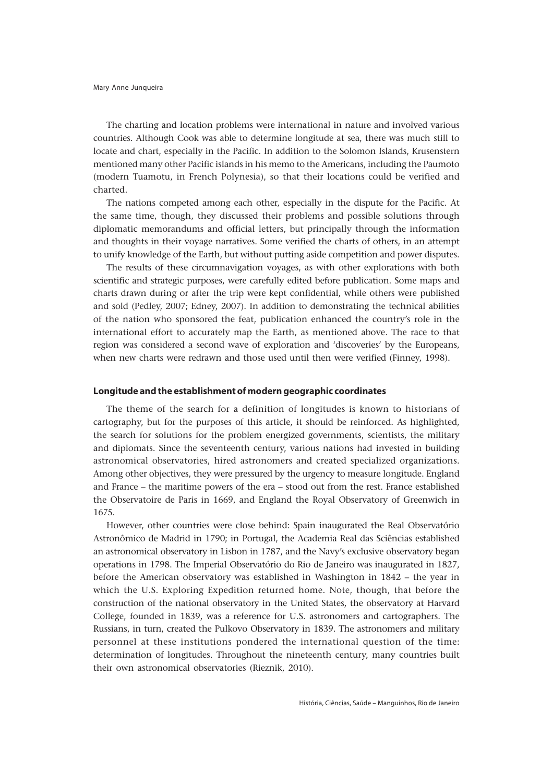The charting and location problems were international in nature and involved various countries. Although Cook was able to determine longitude at sea, there was much still to locate and chart, especially in the Pacific. In addition to the Solomon Islands, Krusenstern mentioned many other Pacific islands in his memo to the Americans, including the Paumoto (modern Tuamotu, in French Polynesia), so that their locations could be verified and charted.

The nations competed among each other, especially in the dispute for the Pacific. At the same time, though, they discussed their problems and possible solutions through diplomatic memorandums and official letters, but principally through the information and thoughts in their voyage narratives. Some verified the charts of others, in an attempt to unify knowledge of the Earth, but without putting aside competition and power disputes.

The results of these circumnavigation voyages, as with other explorations with both scientific and strategic purposes, were carefully edited before publication. Some maps and charts drawn during or after the trip were kept confidential, while others were published and sold (Pedley, 2007; Edney, 2007). In addition to demonstrating the technical abilities of the nation who sponsored the feat, publication enhanced the country's role in the international effort to accurately map the Earth, as mentioned above. The race to that region was considered a second wave of exploration and 'discoveries' by the Europeans, when new charts were redrawn and those used until then were verified (Finney, 1998).

# **Longitude and the establishment of modern geographic coordinates**

The theme of the search for a definition of longitudes is known to historians of cartography, but for the purposes of this article, it should be reinforced. As highlighted, the search for solutions for the problem energized governments, scientists, the military and diplomats. Since the seventeenth century, various nations had invested in building astronomical observatories, hired astronomers and created specialized organizations. Among other objectives, they were pressured by the urgency to measure longitude. England and France – the maritime powers of the era – stood out from the rest. France established the Observatoire de Paris in 1669, and England the Royal Observatory of Greenwich in 1675.

However, other countries were close behind: Spain inaugurated the Real Observatório Astronômico de Madrid in 1790; in Portugal, the Academia Real das Sciências established an astronomical observatory in Lisbon in 1787, and the Navy's exclusive observatory began operations in 1798. The Imperial Observatório do Rio de Janeiro was inaugurated in 1827, before the American observatory was established in Washington in 1842 – the year in which the U.S. Exploring Expedition returned home. Note, though, that before the construction of the national observatory in the United States, the observatory at Harvard College, founded in 1839, was a reference for U.S. astronomers and cartographers. The Russians, in turn, created the Pulkovo Observatory in 1839. The astronomers and military personnel at these institutions pondered the international question of the time: determination of longitudes. Throughout the nineteenth century, many countries built their own astronomical observatories (Rieznik, 2010).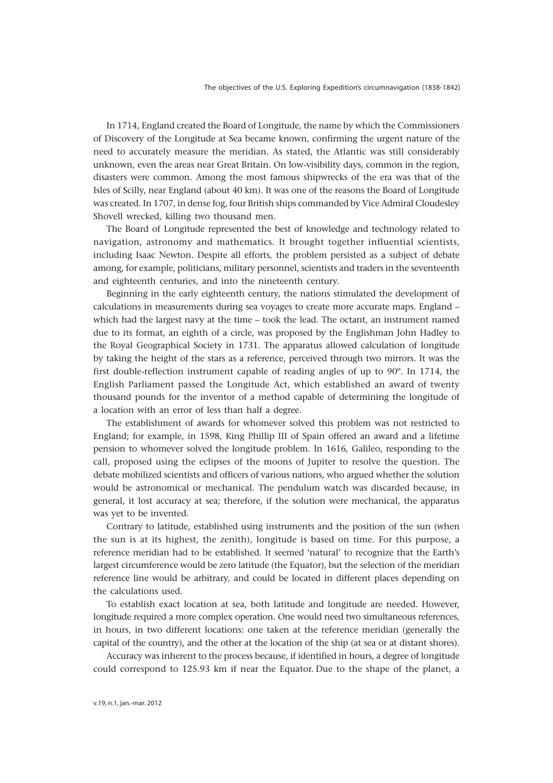In 1714, England created the Board of Longitude, the name by which the Commissioners of Discovery of the Longitude at Sea became known, confirming the urgent nature of the need to accurately measure the meridian. As stated, the Atlantic was still considerably unknown, even the areas near Great Britain. On low-visibility days, common in the region, disasters were common. Among the most famous shipwrecks of the era was that of the Isles of Scilly, near England (about 40 km). It was one of the reasons the Board of Longitude was created. In 1707, in dense fog, four British ships commanded by Vice Admiral Cloudesley Shovell wrecked, killing two thousand men.

The Board of Longitude represented the best of knowledge and technology related to navigation, astronomy and mathematics. It brought together influential scientists, including Isaac Newton. Despite all efforts, the problem persisted as a subject of debate among, for example, politicians, military personnel, scientists and traders in the seventeenth and eighteenth centuries, and into the nineteenth century.

Beginning in the early eighteenth century, the nations stimulated the development of calculations in measurements during sea voyages to create more accurate maps. England – which had the largest navy at the time – took the lead. The octant, an instrument named due to its format, an eighth of a circle, was proposed by the Englishman John Hadley to the Royal Geographical Society in 1731. The apparatus allowed calculation of longitude by taking the height of the stars as a reference, perceived through two mirrors. It was the first double-reflection instrument capable of reading angles of up to 90º. In 1714, the English Parliament passed the Longitude Act, which established an award of twenty thousand pounds for the inventor of a method capable of determining the longitude of a location with an error of less than half a degree.

The establishment of awards for whomever solved this problem was not restricted to England; for example, in 1598, King Phillip III of Spain offered an award and a lifetime pension to whomever solved the longitude problem. In 1616, Galileo, responding to the call, proposed using the eclipses of the moons of Jupiter to resolve the question. The debate mobilized scientists and officers of various nations, who argued whether the solution would be astronomical or mechanical. The pendulum watch was discarded because, in general, it lost accuracy at sea; therefore, if the solution were mechanical, the apparatus was yet to be invented.

Contrary to latitude, established using instruments and the position of the sun (when the sun is at its highest, the zenith), longitude is based on time. For this purpose, a reference meridian had to be established. It seemed 'natural' to recognize that the Earth's largest circumference would be zero latitude (the Equator), but the selection of the meridian reference line would be arbitrary, and could be located in different places depending on the calculations used.

To establish exact location at sea, both latitude and longitude are needed. However, longitude required a more complex operation. One would need two simultaneous references, in hours, in two different locations: one taken at the reference meridian (generally the capital of the country), and the other at the location of the ship (at sea or at distant shores).

Accuracy was inherent to the process because, if identified in hours, a degree of longitude could correspond to 125.93 km if near the Equator. Due to the shape of the planet, a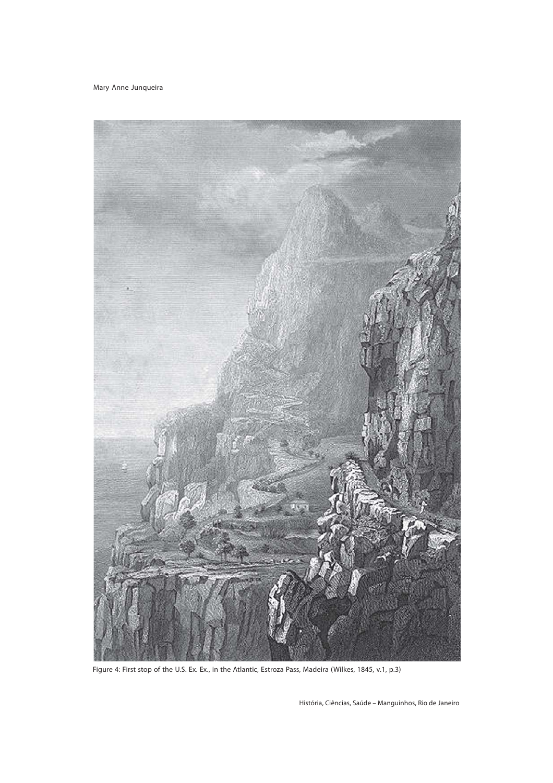

Figure 4: First stop of the U.S. Ex. Ex., in the Atlantic, Estroza Pass, Madeira (Wilkes, 1845, v.1, p.3)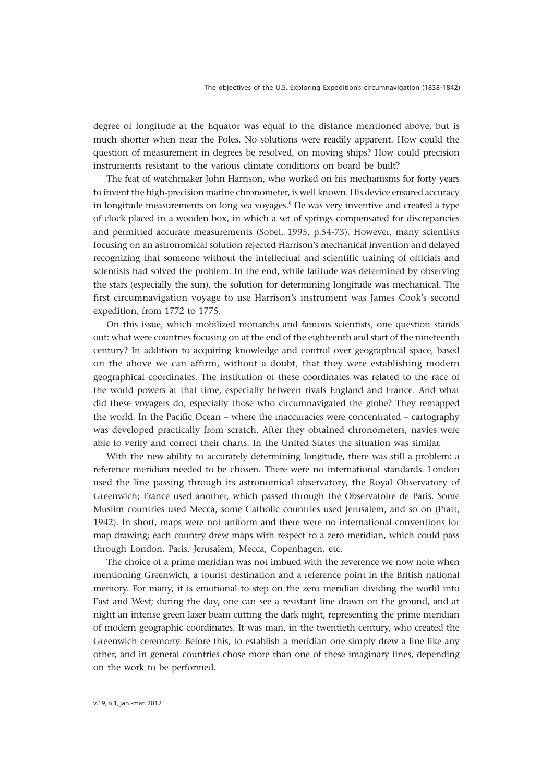degree of longitude at the Equator was equal to the distance mentioned above, but is much shorter when near the Poles. No solutions were readily apparent. How could the question of measurement in degrees be resolved, on moving ships? How could precision instruments resistant to the various climate conditions on board be built?

The feat of watchmaker John Harrison, who worked on his mechanisms for forty years to invent the high-precision marine chronometer, is well known. His device ensured accuracy in longitude measurements on long sea voyages.9 He was very inventive and created a type of clock placed in a wooden box, in which a set of springs compensated for discrepancies and permitted accurate measurements (Sobel, 1995, p.54-73). However, many scientists focusing on an astronomical solution rejected Harrison's mechanical invention and delayed recognizing that someone without the intellectual and scientific training of officials and scientists had solved the problem. In the end, while latitude was determined by observing the stars (especially the sun), the solution for determining longitude was mechanical. The first circumnavigation voyage to use Harrison's instrument was James Cook's second expedition, from 1772 to 1775.

On this issue, which mobilized monarchs and famous scientists, one question stands out: what were countries focusing on at the end of the eighteenth and start of the nineteenth century? In addition to acquiring knowledge and control over geographical space, based on the above we can affirm, without a doubt, that they were establishing modern geographical coordinates. The institution of these coordinates was related to the race of the world powers at that time, especially between rivals England and France. And what did these voyagers do, especially those who circumnavigated the globe? They remapped the world. In the Pacific Ocean – where the inaccuracies were concentrated – cartography was developed practically from scratch. After they obtained chronometers, navies were able to verify and correct their charts. In the United States the situation was similar.

With the new ability to accurately determining longitude, there was still a problem: a reference meridian needed to be chosen. There were no international standards. London used the line passing through its astronomical observatory, the Royal Observatory of Greenwich; France used another, which passed through the Observatoire de Paris. Some Muslim countries used Mecca, some Catholic countries used Jerusalem, and so on (Pratt, 1942). In short, maps were not uniform and there were no international conventions for map drawing; each country drew maps with respect to a zero meridian, which could pass through London, Paris, Jerusalem, Mecca, Copenhagen, etc.

The choice of a prime meridian was not imbued with the reverence we now note when mentioning Greenwich, a tourist destination and a reference point in the British national memory. For many, it is emotional to step on the zero meridian dividing the world into East and West; during the day, one can see a resistant line drawn on the ground, and at night an intense green laser beam cutting the dark night, representing the prime meridian of modern geographic coordinates. It was man, in the twentieth century, who created the Greenwich ceremony. Before this, to establish a meridian one simply drew a line like any other, and in general countries chose more than one of these imaginary lines, depending on the work to be performed.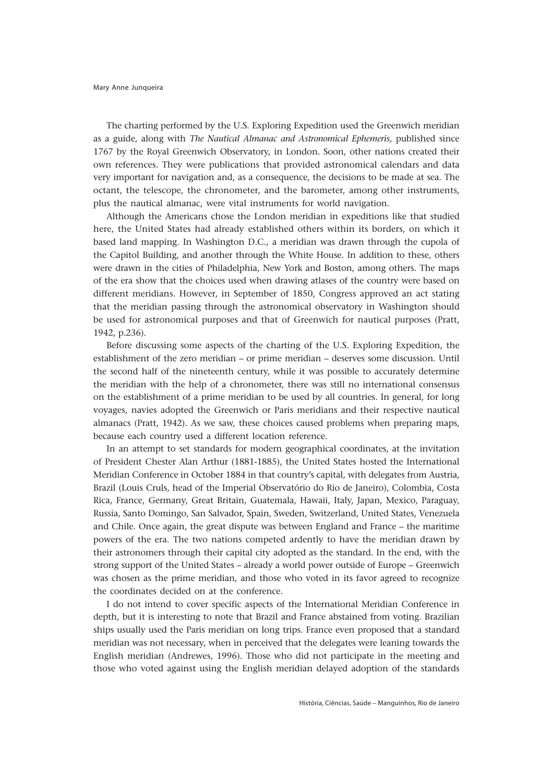The charting performed by the U.S. Exploring Expedition used the Greenwich meridian as a guide, along with *The Nautical Almanac and Astronomical Ephemeris,* published since 1767 by the Royal Greenwich Observatory, in London*.* Soon, other nations created their own references. They were publications that provided astronomical calendars and data very important for navigation and, as a consequence, the decisions to be made at sea. The octant, the telescope, the chronometer, and the barometer, among other instruments, plus the nautical almanac, were vital instruments for world navigation.

Although the Americans chose the London meridian in expeditions like that studied here, the United States had already established others within its borders, on which it based land mapping. In Washington D.C., a meridian was drawn through the cupola of the Capitol Building, and another through the White House. In addition to these, others were drawn in the cities of Philadelphia, New York and Boston, among others. The maps of the era show that the choices used when drawing atlases of the country were based on different meridians. However, in September of 1850, Congress approved an act stating that the meridian passing through the astronomical observatory in Washington should be used for astronomical purposes and that of Greenwich for nautical purposes (Pratt, 1942, p.236).

Before discussing some aspects of the charting of the U.S. Exploring Expedition, the establishment of the zero meridian – or prime meridian – deserves some discussion. Until the second half of the nineteenth century, while it was possible to accurately determine the meridian with the help of a chronometer, there was still no international consensus on the establishment of a prime meridian to be used by all countries. In general, for long voyages, navies adopted the Greenwich or Paris meridians and their respective nautical almanacs (Pratt, 1942). As we saw, these choices caused problems when preparing maps, because each country used a different location reference.

In an attempt to set standards for modern geographical coordinates, at the invitation of President Chester Alan Arthur (1881-1885), the United States hosted the International Meridian Conference in October 1884 in that country's capital, with delegates from Austria, Brazil (Louis Cruls, head of the Imperial Observatório do Rio de Janeiro), Colombia, Costa Rica, France, Germany, Great Britain, Guatemala, Hawaii, Italy, Japan, Mexico, Paraguay, Russia, Santo Domingo, San Salvador, Spain, Sweden, Switzerland, United States, Venezuela and Chile. Once again, the great dispute was between England and France – the maritime powers of the era. The two nations competed ardently to have the meridian drawn by their astronomers through their capital city adopted as the standard. In the end, with the strong support of the United States – already a world power outside of Europe – Greenwich was chosen as the prime meridian, and those who voted in its favor agreed to recognize the coordinates decided on at the conference.

I do not intend to cover specific aspects of the International Meridian Conference in depth, but it is interesting to note that Brazil and France abstained from voting. Brazilian ships usually used the Paris meridian on long trips. France even proposed that a standard meridian was not necessary, when in perceived that the delegates were leaning towards the English meridian (Andrewes, 1996). Those who did not participate in the meeting and those who voted against using the English meridian delayed adoption of the standards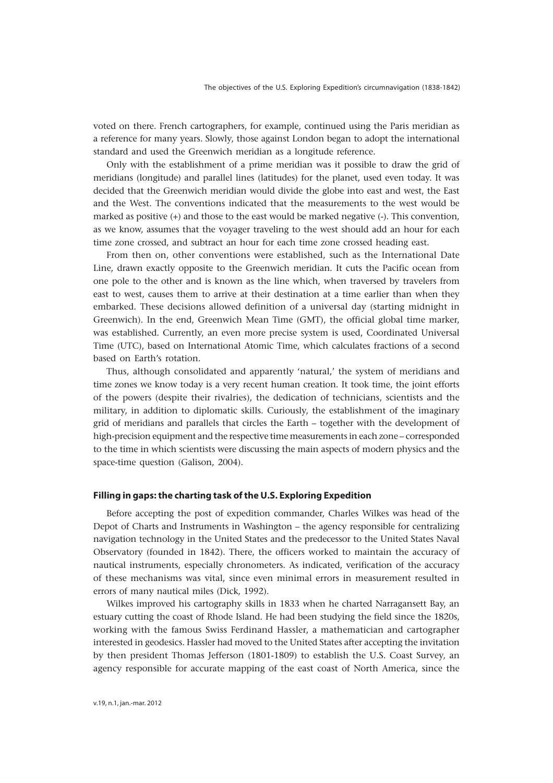voted on there. French cartographers, for example, continued using the Paris meridian as a reference for many years. Slowly, those against London began to adopt the international standard and used the Greenwich meridian as a longitude reference.

Only with the establishment of a prime meridian was it possible to draw the grid of meridians (longitude) and parallel lines (latitudes) for the planet, used even today. It was decided that the Greenwich meridian would divide the globe into east and west, the East and the West. The conventions indicated that the measurements to the west would be marked as positive (+) and those to the east would be marked negative (-). This convention, as we know, assumes that the voyager traveling to the west should add an hour for each time zone crossed, and subtract an hour for each time zone crossed heading east.

From then on, other conventions were established, such as the International Date Line, drawn exactly opposite to the Greenwich meridian. It cuts the Pacific ocean from one pole to the other and is known as the line which, when traversed by travelers from east to west, causes them to arrive at their destination at a time earlier than when they embarked. These decisions allowed definition of a universal day (starting midnight in Greenwich). In the end, Greenwich Mean Time (GMT), the official global time marker, was established. Currently, an even more precise system is used, Coordinated Universal Time (UTC), based on International Atomic Time, which calculates fractions of a second based on Earth's rotation.

Thus, although consolidated and apparently 'natural,' the system of meridians and time zones we know today is a very recent human creation. It took time, the joint efforts of the powers (despite their rivalries), the dedication of technicians, scientists and the military, in addition to diplomatic skills. Curiously, the establishment of the imaginary grid of meridians and parallels that circles the Earth – together with the development of high-precision equipment and the respective time measurements in each zone – corresponded to the time in which scientists were discussing the main aspects of modern physics and the space-time question (Galison, 2004).

# **Filling in gaps: the charting task of the U.S. Exploring Expedition**

Before accepting the post of expedition commander, Charles Wilkes was head of the Depot of Charts and Instruments in Washington – the agency responsible for centralizing navigation technology in the United States and the predecessor to the United States Naval Observatory (founded in 1842). There, the officers worked to maintain the accuracy of nautical instruments, especially chronometers. As indicated, verification of the accuracy of these mechanisms was vital, since even minimal errors in measurement resulted in errors of many nautical miles (Dick, 1992).

Wilkes improved his cartography skills in 1833 when he charted Narragansett Bay, an estuary cutting the coast of Rhode Island. He had been studying the field since the 1820s, working with the famous Swiss Ferdinand Hassler, a mathematician and cartographer interested in geodesics. Hassler had moved to the United States after accepting the invitation by then president Thomas Jefferson (1801-1809) to establish the U.S. Coast Survey, an agency responsible for accurate mapping of the east coast of North America, since the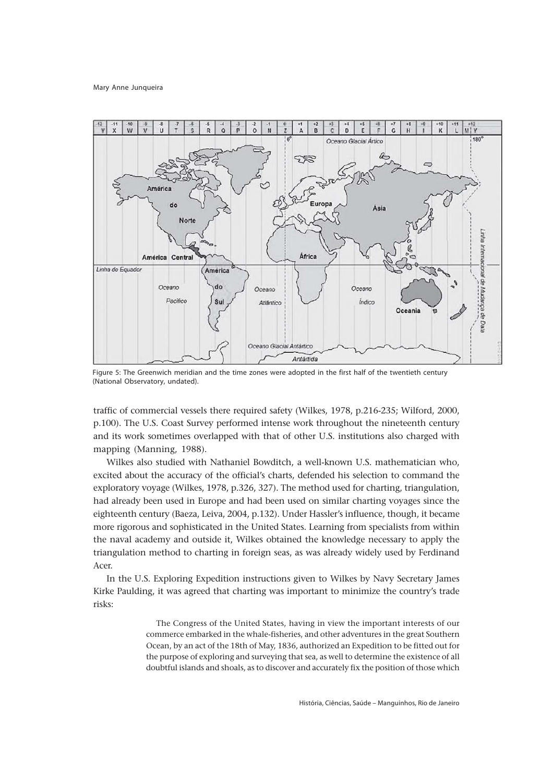

Figure 5: The Greenwich meridian and the time zones were adopted in the first half of the twentieth century (National Observatory, undated).

traffic of commercial vessels there required safety (Wilkes, 1978, p.216-235; Wilford, 2000, p.100). The U.S. Coast Survey performed intense work throughout the nineteenth century and its work sometimes overlapped with that of other U.S. institutions also charged with mapping (Manning, 1988).

Wilkes also studied with Nathaniel Bowditch, a well-known U.S. mathematician who, excited about the accuracy of the official's charts, defended his selection to command the exploratory voyage (Wilkes, 1978, p.326, 327). The method used for charting, triangulation, had already been used in Europe and had been used on similar charting voyages since the eighteenth century (Baeza, Leiva, 2004, p.132). Under Hassler's influence, though, it became more rigorous and sophisticated in the United States. Learning from specialists from within the naval academy and outside it, Wilkes obtained the knowledge necessary to apply the triangulation method to charting in foreign seas, as was already widely used by Ferdinand Acer.

In the U.S. Exploring Expedition instructions given to Wilkes by Navy Secretary James Kirke Paulding, it was agreed that charting was important to minimize the country's trade risks:

> The Congress of the United States, having in view the important interests of our commerce embarked in the whale-fisheries, and other adventures in the great Southern Ocean, by an act of the 18th of May, 1836, authorized an Expedition to be fitted out for the purpose of exploring and surveying that sea, as well to determine the existence of all doubtful islands and shoals, as to discover and accurately fix the position of those which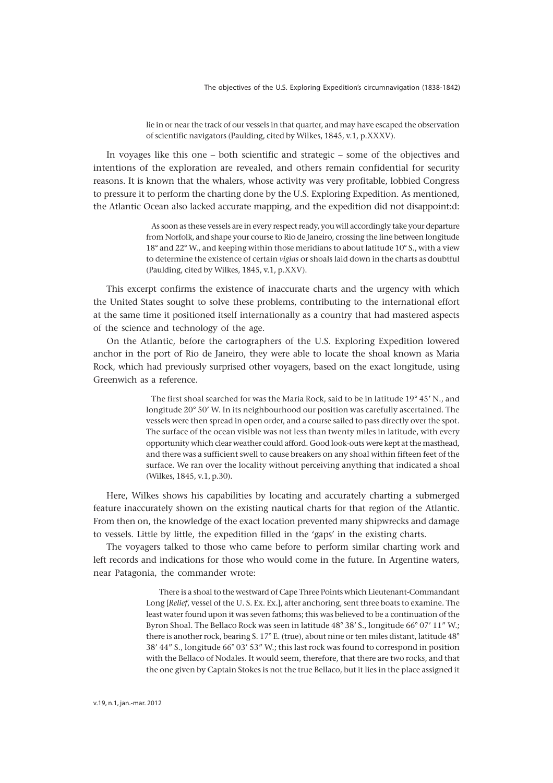The objectives of the U.S. Exploring Expedition's circumnavigation (1838-1842)

lie in or near the track of our vessels in that quarter, and may have escaped the observation of scientific navigators (Paulding, cited by Wilkes, 1845, v.1, p.XXXV).

In voyages like this one – both scientific and strategic – some of the objectives and intentions of the exploration are revealed, and others remain confidential for security reasons. It is known that the whalers, whose activity was very profitable, lobbied Congress to pressure it to perform the charting done by the U.S. Exploring Expedition. As mentioned, the Atlantic Ocean also lacked accurate mapping, and the expedition did not disappoint:d:

> As soon as these vessels are in every respect ready, you will accordingly take your departure from Norfolk, and shape your course to Rio de Janeiro, crossing the line between longitude 18° and 22° W., and keeping within those meridians to about latitude 10° S., with a view to determine the existence of certain *vigias* or shoals laid down in the charts as doubtful (Paulding, cited by Wilkes, 1845, v.1, p.XXV).

This excerpt confirms the existence of inaccurate charts and the urgency with which the United States sought to solve these problems, contributing to the international effort at the same time it positioned itself internationally as a country that had mastered aspects of the science and technology of the age.

On the Atlantic, before the cartographers of the U.S. Exploring Expedition lowered anchor in the port of Rio de Janeiro, they were able to locate the shoal known as Maria Rock, which had previously surprised other voyagers, based on the exact longitude, using Greenwich as a reference.

> The first shoal searched for was the Maria Rock, said to be in latitude 19° 45' N., and longitude 20° 50' W. In its neighbourhood our position was carefully ascertained. The vessels were then spread in open order, and a course sailed to pass directly over the spot. The surface of the ocean visible was not less than twenty miles in latitude, with every opportunity which clear weather could afford. Good look-outs were kept at the masthead, and there was a sufficient swell to cause breakers on any shoal within fifteen feet of the surface. We ran over the locality without perceiving anything that indicated a shoal (Wilkes, 1845, v.1, p.30).

Here, Wilkes shows his capabilities by locating and accurately charting a submerged feature inaccurately shown on the existing nautical charts for that region of the Atlantic. From then on, the knowledge of the exact location prevented many shipwrecks and damage to vessels. Little by little, the expedition filled in the 'gaps' in the existing charts.

The voyagers talked to those who came before to perform similar charting work and left records and indications for those who would come in the future. In Argentine waters, near Patagonia, the commander wrote:

> There is a shoal to the westward of Cape Three Points which Lieutenant-Commandant Long [*Relief*, vessel of the U. S. Ex. Ex.], after anchoring, sent three boats to examine. The least water found upon it was seven fathoms; this was believed to be a continuation of the Byron Shoal. The Bellaco Rock was seen in latitude 48° 38' S., longitude 66° 07' 11" W.; there is another rock, bearing S. 17° E. (true), about nine or ten miles distant, latitude 48° 38' 44" S., longitude 66° 03' 53" W.; this last rock was found to correspond in position with the Bellaco of Nodales. It would seem, therefore, that there are two rocks, and that the one given by Captain Stokes is not the true Bellaco, but it lies in the place assigned it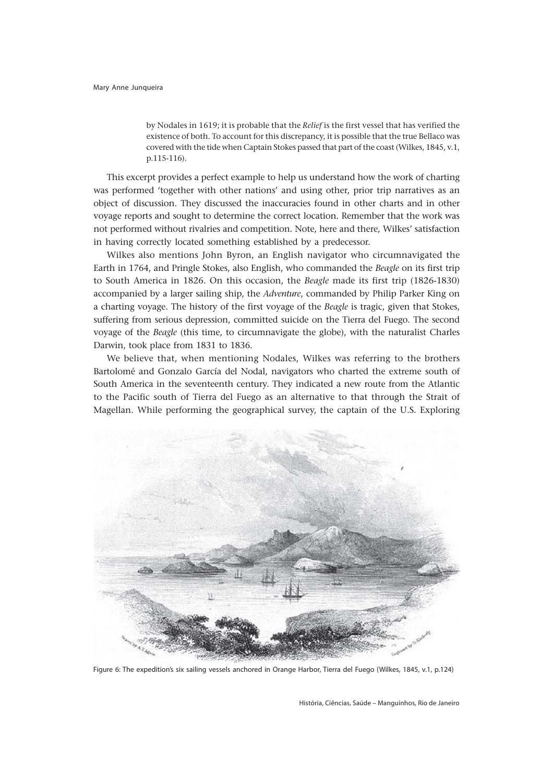by Nodales in 1619; it is probable that the *Relief* is the first vessel that has verified the existence of both. To account for this discrepancy, it is possible that the true Bellaco was covered with the tide when Captain Stokes passed that part of the coast (Wilkes, 1845, v.1, p.115-116).

This excerpt provides a perfect example to help us understand how the work of charting was performed 'together with other nations' and using other, prior trip narratives as an object of discussion. They discussed the inaccuracies found in other charts and in other voyage reports and sought to determine the correct location. Remember that the work was not performed without rivalries and competition. Note, here and there, Wilkes' satisfaction in having correctly located something established by a predecessor.

Wilkes also mentions John Byron, an English navigator who circumnavigated the Earth in 1764, and Pringle Stokes, also English, who commanded the *Beagle* on its first trip to South America in 1826. On this occasion, the *Beagle* made its first trip (1826-1830) accompanied by a larger sailing ship, the *Adventure*, commanded by Philip Parker King on a charting voyage. The history of the first voyage of the *Beagle* is tragic, given that Stokes, suffering from serious depression, committed suicide on the Tierra del Fuego. The second voyage of the *Beagle* (this time, to circumnavigate the globe), with the naturalist Charles Darwin, took place from 1831 to 1836.

We believe that, when mentioning Nodales, Wilkes was referring to the brothers Bartolomé and Gonzalo García del Nodal, navigators who charted the extreme south of South America in the seventeenth century. They indicated a new route from the Atlantic to the Pacific south of Tierra del Fuego as an alternative to that through the Strait of Magellan. While performing the geographical survey, the captain of the U.S. Exploring



Figure 6: The expedition's six sailing vessels anchored in Orange Harbor, Tierra del Fuego (Wilkes, 1845, v.1, p.124)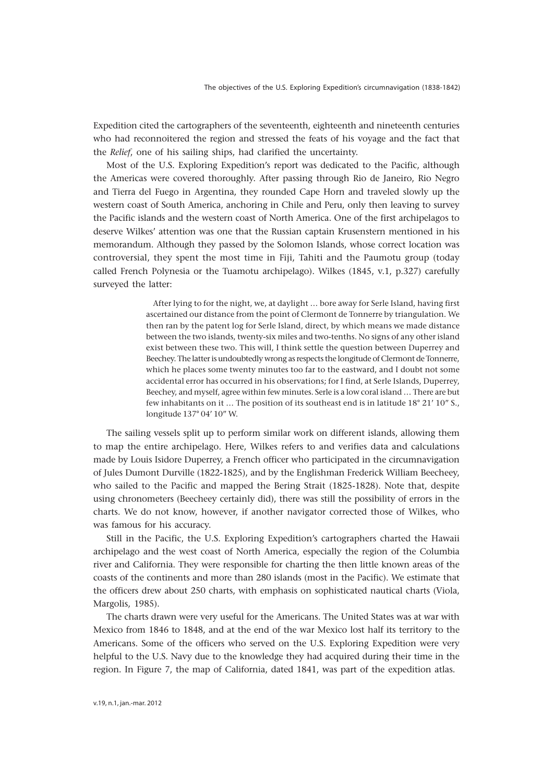Expedition cited the cartographers of the seventeenth, eighteenth and nineteenth centuries who had reconnoitered the region and stressed the feats of his voyage and the fact that the *Relief*, one of his sailing ships, had clarified the uncertainty.

Most of the U.S. Exploring Expedition's report was dedicated to the Pacific, although the Americas were covered thoroughly. After passing through Rio de Janeiro, Rio Negro and Tierra del Fuego in Argentina, they rounded Cape Horn and traveled slowly up the western coast of South America, anchoring in Chile and Peru, only then leaving to survey the Pacific islands and the western coast of North America. One of the first archipelagos to deserve Wilkes' attention was one that the Russian captain Krusenstern mentioned in his memorandum. Although they passed by the Solomon Islands, whose correct location was controversial, they spent the most time in Fiji, Tahiti and the Paumotu group (today called French Polynesia or the Tuamotu archipelago). Wilkes (1845, v.1, p.327) carefully surveyed the latter:

> After lying to for the night, we, at daylight … bore away for Serle Island, having first ascertained our distance from the point of Clermont de Tonnerre by triangulation. We then ran by the patent log for Serle Island, direct, by which means we made distance between the two islands, twenty-six miles and two-tenths. No signs of any other island exist between these two. This will, I think settle the question between Duperrey and Beechey. The latter is undoubtedly wrong as respects the longitude of Clermont de Tonnerre, which he places some twenty minutes too far to the eastward, and I doubt not some accidental error has occurred in his observations; for I find, at Serle Islands, Duperrey, Beechey, and myself, agree within few minutes. Serle is a low coral island … There are but few inhabitants on it … The position of its southeast end is in latitude 18° 21' 10" S., longitude 137° 04' 10" W.

The sailing vessels split up to perform similar work on different islands, allowing them to map the entire archipelago. Here, Wilkes refers to and verifies data and calculations made by Louis Isidore Duperrey, a French officer who participated in the circumnavigation of Jules Dumont Durville (1822-1825), and by the Englishman Frederick William Beecheey, who sailed to the Pacific and mapped the Bering Strait (1825-1828). Note that, despite using chronometers (Beecheey certainly did), there was still the possibility of errors in the charts. We do not know, however, if another navigator corrected those of Wilkes, who was famous for his accuracy.

Still in the Pacific, the U.S. Exploring Expedition's cartographers charted the Hawaii archipelago and the west coast of North America, especially the region of the Columbia river and California. They were responsible for charting the then little known areas of the coasts of the continents and more than 280 islands (most in the Pacific). We estimate that the officers drew about 250 charts, with emphasis on sophisticated nautical charts (Viola, Margolis, 1985).

The charts drawn were very useful for the Americans. The United States was at war with Mexico from 1846 to 1848, and at the end of the war Mexico lost half its territory to the Americans. Some of the officers who served on the U.S. Exploring Expedition were very helpful to the U.S. Navy due to the knowledge they had acquired during their time in the region. In Figure 7, the map of California, dated 1841, was part of the expedition atlas.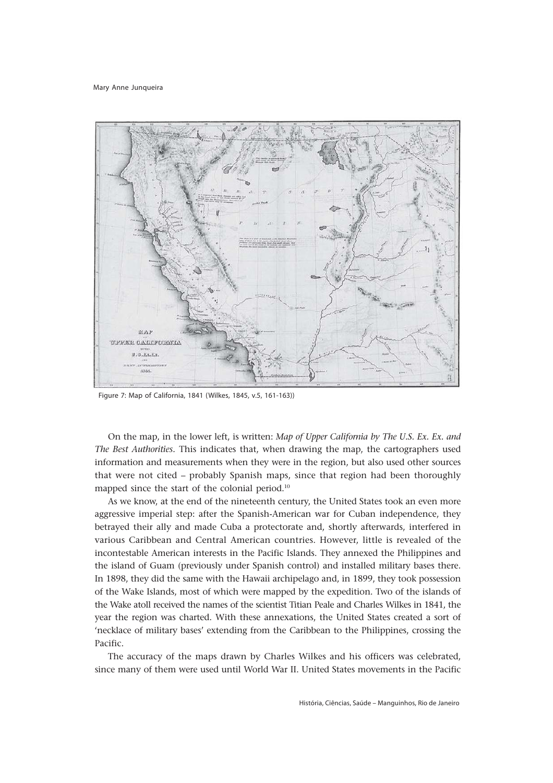

Figure 7: Map of California, 1841 (Wilkes, 1845, v.5, 161-163))

On the map, in the lower left, is written: *Map of Upper California by The U.S. Ex. Ex. and The Best Authorities.* This indicates that, when drawing the map, the cartographers used information and measurements when they were in the region, but also used other sources that were not cited – probably Spanish maps, since that region had been thoroughly mapped since the start of the colonial period.10

As we know, at the end of the nineteenth century, the United States took an even more aggressive imperial step: after the Spanish-American war for Cuban independence, they betrayed their ally and made Cuba a protectorate and, shortly afterwards, interfered in various Caribbean and Central American countries. However, little is revealed of the incontestable American interests in the Pacific Islands. They annexed the Philippines and the island of Guam (previously under Spanish control) and installed military bases there. In 1898, they did the same with the Hawaii archipelago and, in 1899, they took possession of the Wake Islands, most of which were mapped by the expedition. Two of the islands of the Wake atoll received the names of the scientist Titian Peale and Charles Wilkes in 1841, the year the region was charted. With these annexations, the United States created a sort of 'necklace of military bases' extending from the Caribbean to the Philippines, crossing the Pacific.

The accuracy of the maps drawn by Charles Wilkes and his officers was celebrated, since many of them were used until World War II. United States movements in the Pacific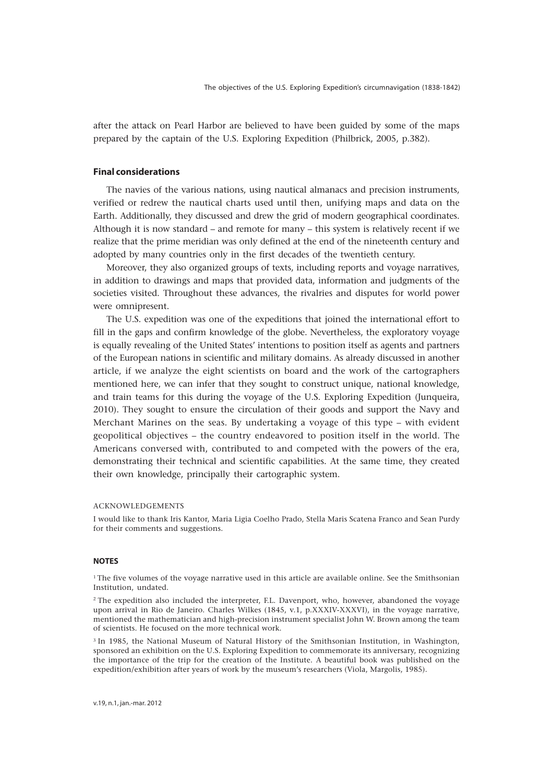after the attack on Pearl Harbor are believed to have been guided by some of the maps prepared by the captain of the U.S. Exploring Expedition (Philbrick, 2005, p.382).

# **Final considerations**

The navies of the various nations, using nautical almanacs and precision instruments, verified or redrew the nautical charts used until then, unifying maps and data on the Earth. Additionally, they discussed and drew the grid of modern geographical coordinates. Although it is now standard – and remote for many – this system is relatively recent if we realize that the prime meridian was only defined at the end of the nineteenth century and adopted by many countries only in the first decades of the twentieth century.

Moreover, they also organized groups of texts, including reports and voyage narratives, in addition to drawings and maps that provided data, information and judgments of the societies visited. Throughout these advances, the rivalries and disputes for world power were omnipresent.

The U.S. expedition was one of the expeditions that joined the international effort to fill in the gaps and confirm knowledge of the globe. Nevertheless, the exploratory voyage is equally revealing of the United States' intentions to position itself as agents and partners of the European nations in scientific and military domains. As already discussed in another article, if we analyze the eight scientists on board and the work of the cartographers mentioned here, we can infer that they sought to construct unique, national knowledge, and train teams for this during the voyage of the U.S. Exploring Expedition (Junqueira, 2010). They sought to ensure the circulation of their goods and support the Navy and Merchant Marines on the seas. By undertaking a voyage of this type – with evident geopolitical objectives – the country endeavored to position itself in the world. The Americans conversed with, contributed to and competed with the powers of the era, demonstrating their technical and scientific capabilities. At the same time, they created their own knowledge, principally their cartographic system.

### ACKNOWLEDGEMENTS

I would like to thank Iris Kantor, Maria Ligia Coelho Prado, Stella Maris Scatena Franco and Sean Purdy for their comments and suggestions.

#### **NOTES**

 $1$ <sup>1</sup> The five volumes of the voyage narrative used in this article are available online. See the Smithsonian Institution, undated.

<sup>2</sup> The expedition also included the interpreter, F.L. Davenport, who, however, abandoned the voyage upon arrival in Rio de Janeiro. Charles Wilkes (1845, v.1, p.XXXIV-XXXVI), in the voyage narrative, mentioned the mathematician and high-precision instrument specialist John W. Brown among the team of scientists. He focused on the more technical work.

<sup>3</sup> In 1985, the National Museum of Natural History of the Smithsonian Institution, in Washington, sponsored an exhibition on the U.S. Exploring Expedition to commemorate its anniversary, recognizing the importance of the trip for the creation of the Institute. A beautiful book was published on the expedition/exhibition after years of work by the museum's researchers (Viola, Margolis, 1985).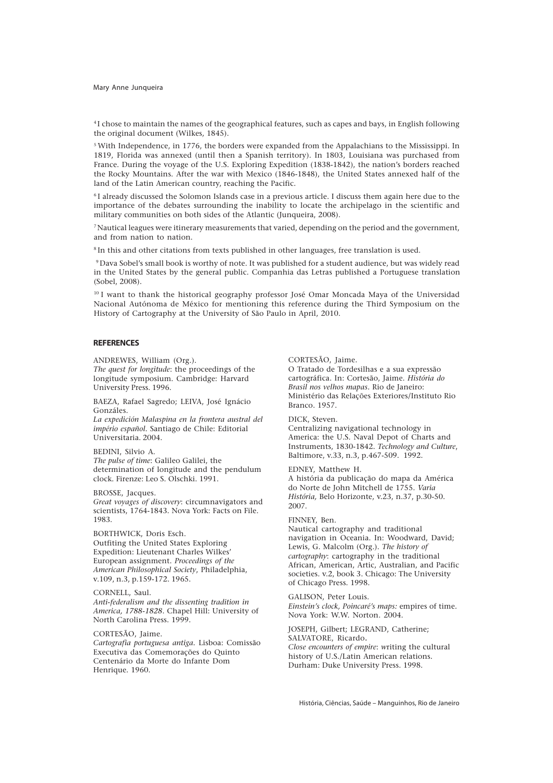4 I chose to maintain the names of the geographical features, such as capes and bays, in English following the original document (Wilkes, 1845).

<sup>5</sup> With Independence, in 1776, the borders were expanded from the Appalachians to the Mississippi. In 1819, Florida was annexed (until then a Spanish territory). In 1803, Louisiana was purchased from France. During the voyage of the U.S. Exploring Expedition (1838-1842), the nation's borders reached the Rocky Mountains. After the war with Mexico (1846-1848), the United States annexed half of the land of the Latin American country, reaching the Pacific.

6 I already discussed the Solomon Islands case in a previous article. I discuss them again here due to the importance of the debates surrounding the inability to locate the archipelago in the scientific and military communities on both sides of the Atlantic (Junqueira, 2008).

7 Nautical leagues were itinerary measurements that varied, depending on the period and the government, and from nation to nation.

8 In this and other citations from texts published in other languages, free translation is used.

9 Dava Sobel's small book is worthy of note. It was published for a student audience, but was widely read in the United States by the general public. Companhia das Letras published a Portuguese translation (Sobel, 2008).

<sup>10</sup> I want to thank the historical geography professor José Omar Moncada Maya of the Universidad Nacional Autónoma de México for mentioning this reference during the Third Symposium on the History of Cartography at the University of São Paulo in April, 2010.

## **REFERENCES**

ANDREWES, William (Org.).

*The quest for longitude*: the proceedings of the longitude symposium. Cambridge: Harvard University Press. 1996.

BAEZA, Rafael Sagredo; LEIVA, José Ignácio Gonzáles.

*La expedición Malaspina en la frontera austral del império español.* Santiago de Chile: Editorial Universitaria. 2004.

### BEDINI, Silvio A.

*The pulse of time*: Galileo Galilei, the determination of longitude and the pendulum clock*.* Firenze: Leo S. Olschki. 1991.

# BROSSE, Jacques.

*Great voyages of discovery*: circumnavigators and scientists, 1764-1843*.* Nova York: Facts on File. 1983.

# BORTHWICK, Doris Esch.

Outfiting the United States Exploring Expedition: Lieutenant Charles Wilkes' European assignment. *Proceedings of the American Philosophical Society*, Philadelphia, v.109, n.3, p.159-172. 1965.

### CORNELL, Saul.

*Anti-federalism and the dissenting tradition in America, 1788-1828*. Chapel Hill: University of North Carolina Press. 1999.

### CORTESÃO, Jaime.

*Cartografia portuguesa antiga.* Lisboa: Comissão Executiva das Comemorações do Quinto Centenário da Morte do Infante Dom Henrique. 1960.

CORTESÃO, Jaime.

O Tratado de Tordesilhas e a sua expressão cartográfica. In: Cortesão, Jaime. *História do Brasil nos velhos mapas.* Rio de Janeiro: Ministério das Relações Exteriores/Instituto Rio Branco. 1957.

#### DICK, Steven.

Centralizing navigational technology in America: the U.S. Naval Depot of Charts and Instruments, 1830-1842. *Technology and Culture*, Baltimore, v.33, n.3, p.467-509. 1992.

EDNEY, Matthew H.

A história da publicação do mapa da América do Norte de John Mitchell de 1755. *Varia História,* Belo Horizonte, v.23, n.37, p.30-50. 2007.

#### FINNEY, Ben.

Nautical cartography and traditional navigation in Oceania. In: Woodward, David; Lewis, G. Malcolm (Org.). *The history of cartography*: cartography in the traditional African, American, Artic, Australian, and Pacific societies. v.2, book 3. Chicago: The University of Chicago Press. 1998.

GALISON, Peter Louis. *Einstein's clock, Poincaré's maps:* empires of time*.* Nova York: W.W. Norton. 2004.

JOSEPH, Gilbert; LEGRAND, Catherine; SALVATORE, Ricardo**.** *Close encounters of empire*: *w*riting the cultural history of U.S./Latin American relations*.* Durham: Duke University Press. 1998.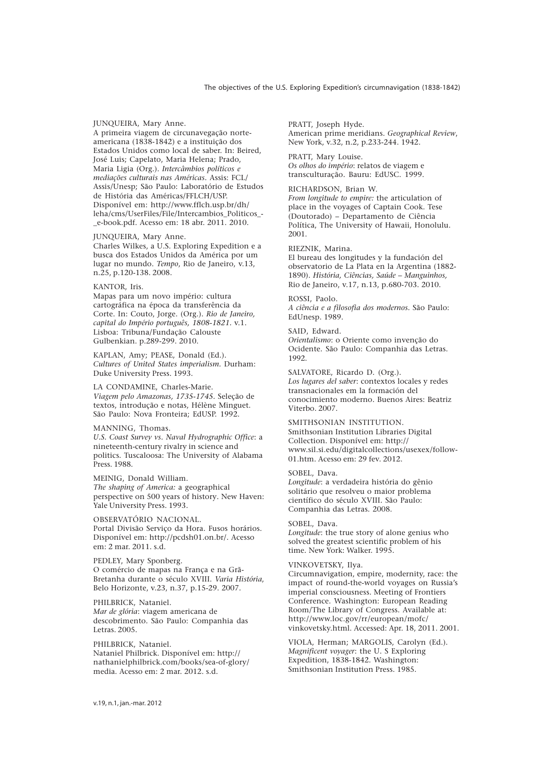### JUNQUEIRA, Mary Anne.

A primeira viagem de circunavegação norteamericana (1838-1842) e a instituição dos Estados Unidos como local de saber. In: Beired, José Luis; Capelato, Maria Helena; Prado, Maria Ligia (Org.). *Intercâmbios políticos e mediações culturais nas Américas.* Assis: FCL/ Assis/Unesp; São Paulo: Laboratório de Estudos de História das Américas/FFLCH/USP. Disponível em: http://www.fflch.usp.br/dh/ leha/cms/UserFiles/File/Intercambios\_Politicos\_- \_e-book.pdf. Acesso em: 18 abr. 2011. 2010.

#### JUNQUEIRA, Mary Anne.

Charles Wilkes, a U.S. Exploring Expedition e a busca dos Estados Unidos da América por um lugar no mundo. *Tempo*, Rio de Janeiro, v.13, n.25, p.120-138. 2008.

#### KANTOR, Iris.

Mapas para um novo império: cultura cartográfica na época da transferência da Corte. In: Couto, Jorge. (Org.). *Rio de Janeiro, capital do Império português, 1808-1821.* v.1. Lisboa: Tribuna/Fundação Calouste Gulbenkian. p.289-299. 2010.

KAPLAN, Amy; PEASE, Donald (Ed.). *Cultures of United States imperialism.* Durham: Duke University Press. 1993.

LA CONDAMINE, Charles-Marie. *Viagem pelo Amazonas, 1735-1745.* Seleção de textos, introdução e notas, Hélène Minguet. São Paulo: Nova Fronteira; EdUSP. 1992.

#### MANNING, Thomas.

*U.S. Coast Survey vs. Naval Hydrographic Office*: a nineteenth-century rivalry in science and politics. Tuscaloosa: The University of Alabama Press. 1988.

MEINIG, Donald William. *The shaping of America:* a geographical perspective on 500 years of history*.* New Haven: Yale University Press. 1993.

OBSERVATÓRIO NACIONAL. Portal Divisão Serviço da Hora. Fusos horários. Disponível em: http://pcdsh01.on.br/. Acesso em: 2 mar. 2011. s.d.

### PEDLEY, Mary Sponberg. O comércio de mapas na França e na Grã-Bretanha durante o século XVIII. *Varia História*, Belo Horizonte, v.23, n.37, p.15-29. 2007.

PHILBRICK, Nataniel. *Mar de glória*: viagem americana de descobrimento*.* São Paulo: Companhia das Letras. 2005.

### PHILBRICK, Nataniel. Nataniel Philbrick. Disponível em: http:// nathanielphilbrick.com/books/sea-of-glory/ media. Acesso em: 2 mar. 2012. s.d.

PRATT, Joseph Hyde. American prime meridians. *Geographical Review*, New York, v.32, n.2, p.233-244. 1942.

PRATT, Mary Louise. *Os olhos do império*: relatos de viagem e transculturação*.* Bauru: EdUSC. 1999.

### RICHARDSON, Brian W.

*From longitude to empire:* the articulation of place in the voyages of Captain Cook. Tese (Doutorado) – Departamento de Ciência Política, The University of Hawaii, Honolulu. 2001.

## RIEZNIK, Marina.

El bureau des longitudes y la fundación del observatorio de La Plata en la Argentina (1882- 1890). *História, Ciências, Saúde – Manguinhos,* Rio de Janeiro, v.17, n.13, p.680-703. 2010.

#### ROSSI, Paolo.

*A ciência e a filosofia dos modernos.* São Paulo: EdUnesp. 1989.

# SAID, Edward.

*Orientalismo*: o Oriente como invenção do Ocidente*.* São Paulo: Companhia das Letras. 1992.

SALVATORE, Ricardo D. (Org.). *Los lugares del saber*: contextos locales y redes transnacionales em la formación del conocimiento moderno*.* Buenos Aires: Beatriz Viterbo. 2007.

# SMITHSONIAN INSTITUTION.

Smithsonian Institution Libraries Digital Collection. Disponível em: http:// www.sil.si.edu/digitalcollections/usexex/follow-01.htm. Acesso em: 29 fev. 2012.

## SOBEL, Dava.

*Longitude*: a verdadeira história do gênio solitário que resolveu o maior problema científico do século XVIII*.* São Paulo: Companhia das Letras. 2008.

### SOBEL, Dava.

*Longitude*: the true story of alone genius who solved the greatest scientific problem of his time*.* New York: Walker. 1995.

### VINKOVETSKY, Ilya.

Circumnavigation, empire, modernity, race: the impact of round-the-world voyages on Russia's imperial consciousness. Meeting of Frontiers Conference. Washington: European Reading Room/The Library of Congress. Available at: http://www.loc.gov/rr/european/mofc/ vinkovetsky.html. Accessed: Apr. 18, 2011. 2001.

VIOLA, Herman; MARGOLIS, Carolyn (Ed.). *Magnificent voyager*: the U. S Exploring Expedition, 1838-1842*.* Washington: Smithsonian Institution Press. 1985.